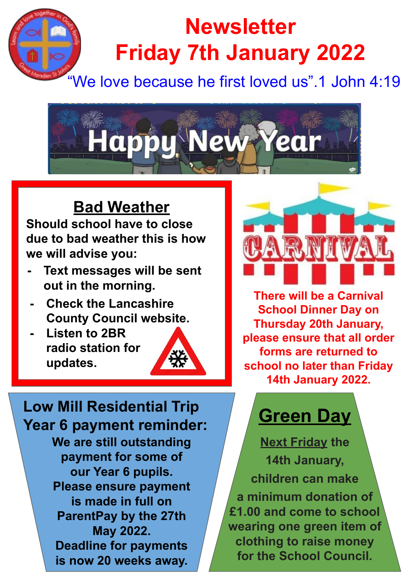# **Newsletter Friday 7th January 2022**

## "We love because he first loved us".1 John 4:19



### **Bad Weather**

**Should school have to close due to bad weather this is how we will advise you:**

- **- Text messages will be sent out in the morning.**
- **- Check the Lancashire County Council website.**
- **- Listen to 2BR radio station for updates.**



**We are still outstanding payment for some of our Year 6 pupils. Please ensure payment is made in full on ParentPay by the 27th May 2022. Deadline for payments is now 20 weeks away. Low Mill Residential Trip Year 6 payment reminder:**



**There will be a Carnival School Dinner Day on Thursday 20th January, please ensure that all order forms are returned to school no later than Friday 14th January 2022.**

# **Green Day**

**Next Friday the 14th January, children can make a minimum donation of £1.00 and come to school wearing one green item of clothing to raise money for the School Council.**